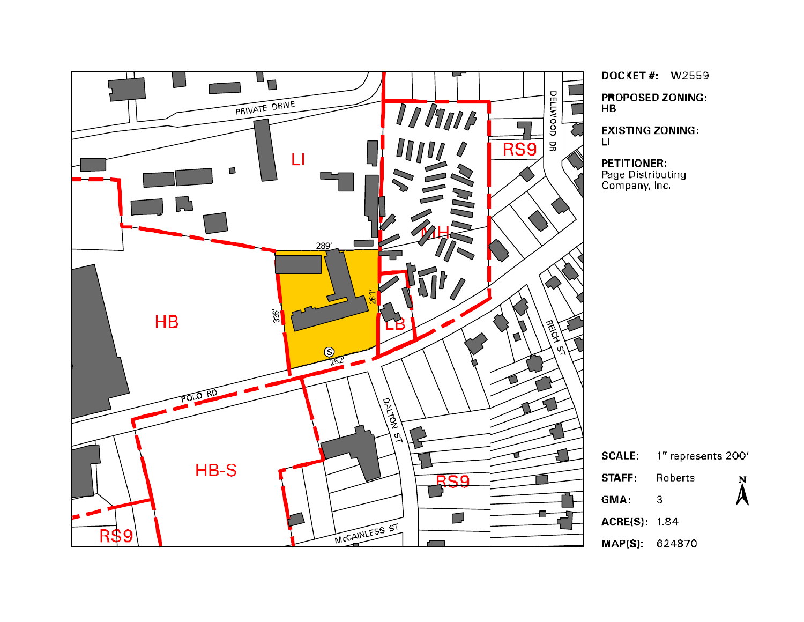

**DOCKET#: W2559 PROPOSED ZONING:**  $H$ B

**EXISTING ZONING:**  $\mathbf{L}$ 

**PETITIONER:** Page Distributing<br>Company, Inc.

1" represents 200' **SCALE: STAFF:** Roberts  $\mathbf N$  $\lambda$ GMA: 3 **ACRE(S): 1.84** MAP(S): 624870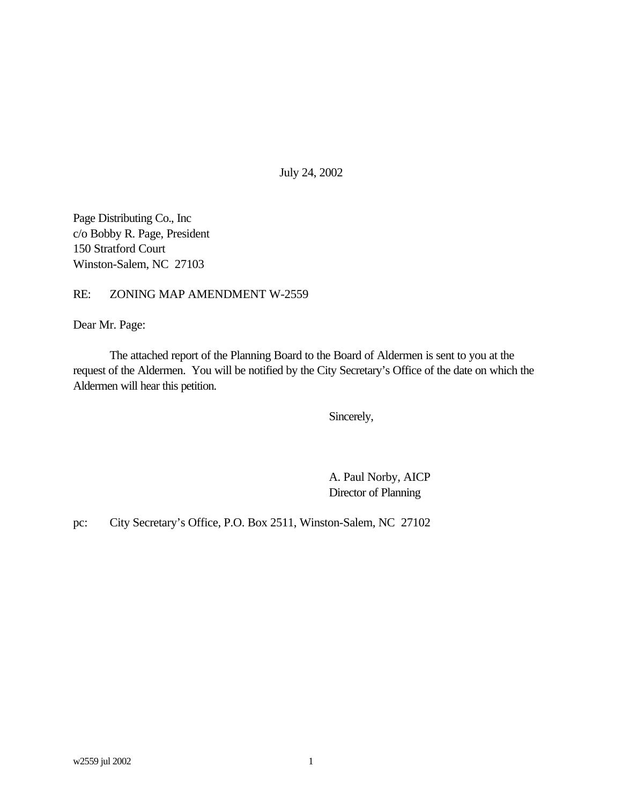July 24, 2002

Page Distributing Co., Inc c/o Bobby R. Page, President 150 Stratford Court Winston-Salem, NC 27103

## RE: ZONING MAP AMENDMENT W-2559

Dear Mr. Page:

The attached report of the Planning Board to the Board of Aldermen is sent to you at the request of the Aldermen. You will be notified by the City Secretary's Office of the date on which the Aldermen will hear this petition.

Sincerely,

A. Paul Norby, AICP Director of Planning

pc: City Secretary's Office, P.O. Box 2511, Winston-Salem, NC 27102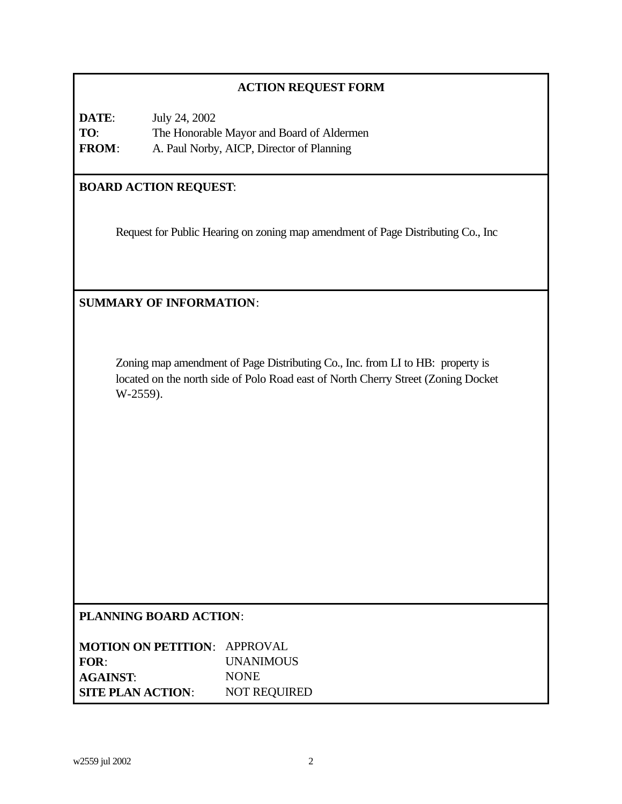# **ACTION REQUEST FORM**

| DATE:        | July 24, 2002                             |
|--------------|-------------------------------------------|
| TO:          | The Honorable Mayor and Board of Aldermen |
| <b>FROM:</b> | A. Paul Norby, AICP, Director of Planning |

# **BOARD ACTION REQUEST**:

Request for Public Hearing on zoning map amendment of Page Distributing Co., Inc

# **SUMMARY OF INFORMATION**:

Zoning map amendment of Page Distributing Co., Inc. from LI to HB: property is located on the north side of Polo Road east of North Cherry Street (Zoning Docket W-2559).

## **PLANNING BOARD ACTION**:

| <b>MOTION ON PETITION: APPROVAL</b> |                     |
|-------------------------------------|---------------------|
| FOR:                                | <b>UNANIMOUS</b>    |
| <b>AGAINST:</b>                     | <b>NONE</b>         |
| <b>SITE PLAN ACTION:</b>            | <b>NOT REQUIRED</b> |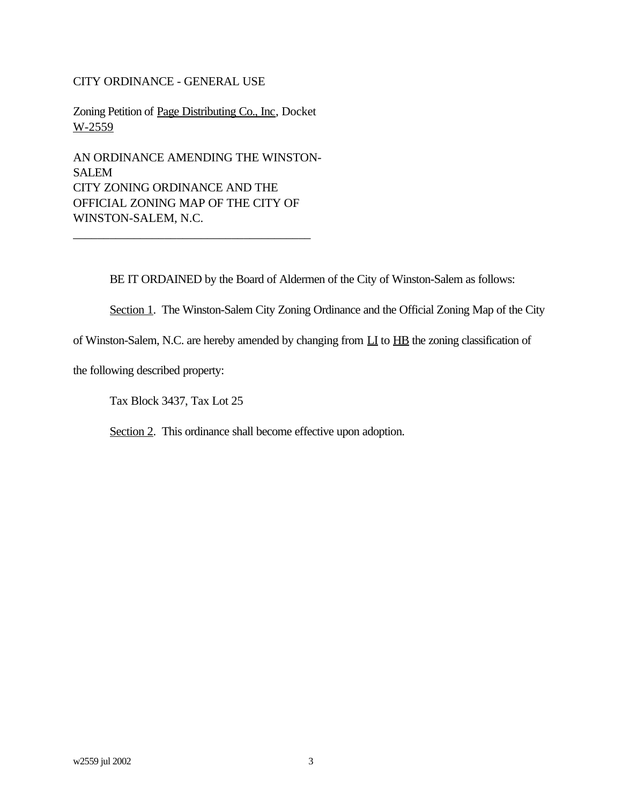## CITY ORDINANCE - GENERAL USE

Zoning Petition of Page Distributing Co., Inc, Docket W-2559

AN ORDINANCE AMENDING THE WINSTON-SALEM CITY ZONING ORDINANCE AND THE OFFICIAL ZONING MAP OF THE CITY OF WINSTON-SALEM, N.C.

\_\_\_\_\_\_\_\_\_\_\_\_\_\_\_\_\_\_\_\_\_\_\_\_\_\_\_\_\_\_\_\_\_\_\_\_\_\_\_

BE IT ORDAINED by the Board of Aldermen of the City of Winston-Salem as follows:

Section 1. The Winston-Salem City Zoning Ordinance and the Official Zoning Map of the City

of Winston-Salem, N.C. are hereby amended by changing from  $\underline{LI}$  to  $\underline{HB}$  the zoning classification of

the following described property:

Tax Block 3437, Tax Lot 25

Section 2. This ordinance shall become effective upon adoption.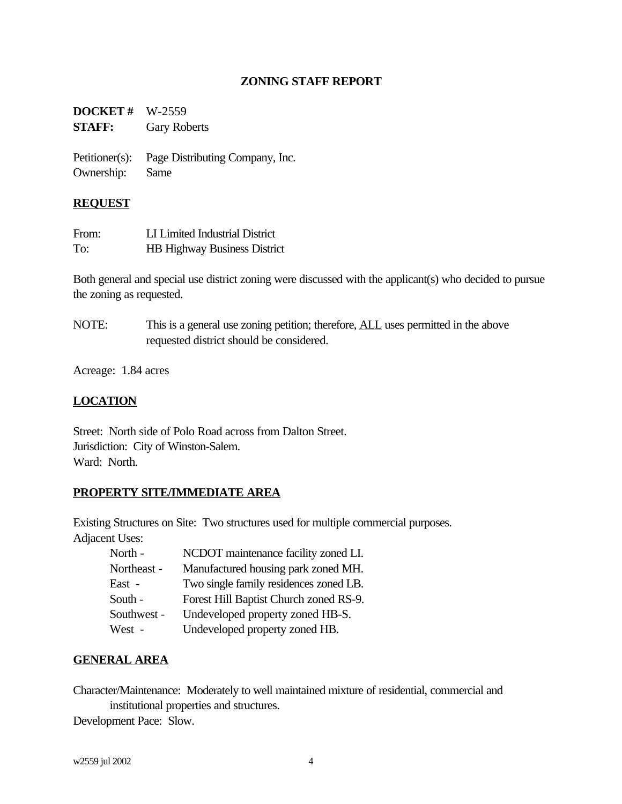## **ZONING STAFF REPORT**

**DOCKET #** W-2559 **STAFF:** Gary Roberts

Petitioner(s): Page Distributing Company, Inc. Ownership: Same

#### **REQUEST**

| From: | LI Limited Industrial District      |
|-------|-------------------------------------|
| To:   | <b>HB Highway Business District</b> |

Both general and special use district zoning were discussed with the applicant(s) who decided to pursue the zoning as requested.

NOTE: This is a general use zoning petition; therefore, **ALL** uses permitted in the above requested district should be considered.

Acreage: 1.84 acres

## **LOCATION**

Street: North side of Polo Road across from Dalton Street. Jurisdiction: City of Winston-Salem. Ward: North.

# **PROPERTY SITE/IMMEDIATE AREA**

Existing Structures on Site: Two structures used for multiple commercial purposes.

Adjacent Uses:

| North -     | NCDOT maintenance facility zoned LI.   |
|-------------|----------------------------------------|
| Northeast - | Manufactured housing park zoned MH.    |
| East -      | Two single family residences zoned LB. |
| South -     | Forest Hill Baptist Church zoned RS-9. |
| Southwest - | Undeveloped property zoned HB-S.       |
| West -      | Undeveloped property zoned HB.         |

## **GENERAL AREA**

Character/Maintenance: Moderately to well maintained mixture of residential, commercial and institutional properties and structures.

Development Pace: Slow.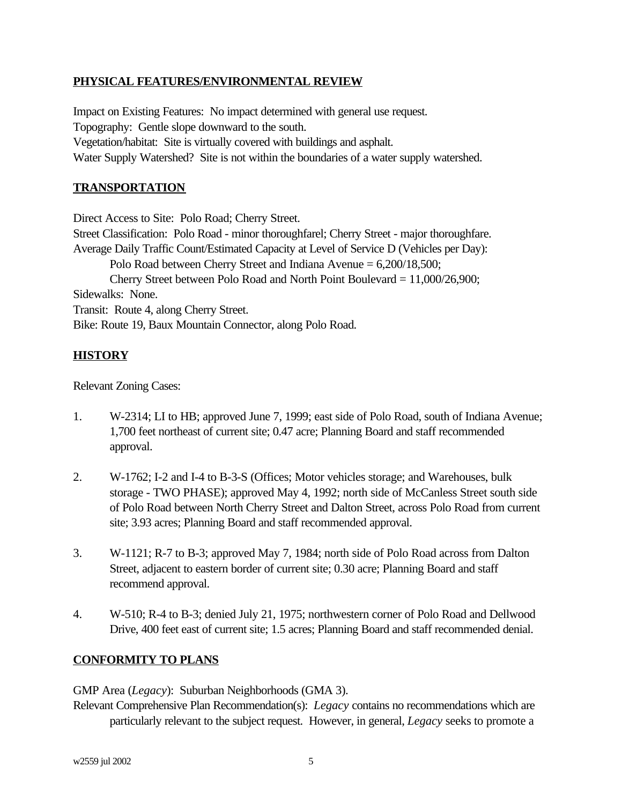## **PHYSICAL FEATURES/ENVIRONMENTAL REVIEW**

Impact on Existing Features: No impact determined with general use request. Topography: Gentle slope downward to the south. Vegetation/habitat: Site is virtually covered with buildings and asphalt. Water Supply Watershed? Site is not within the boundaries of a water supply watershed.

## **TRANSPORTATION**

Direct Access to Site: Polo Road; Cherry Street.

Street Classification: Polo Road - minor thoroughfarel; Cherry Street - major thoroughfare. Average Daily Traffic Count/Estimated Capacity at Level of Service D (Vehicles per Day): Polo Road between Cherry Street and Indiana Avenue = 6,200/18,500; Cherry Street between Polo Road and North Point Boulevard = 11,000/26,900; Sidewalks: None. Transit: Route 4, along Cherry Street. Bike: Route 19, Baux Mountain Connector, along Polo Road.

# **HISTORY**

Relevant Zoning Cases:

- 1. W-2314; LI to HB; approved June 7, 1999; east side of Polo Road, south of Indiana Avenue; 1,700 feet northeast of current site; 0.47 acre; Planning Board and staff recommended approval.
- 2. W-1762; I-2 and I-4 to B-3-S (Offices; Motor vehicles storage; and Warehouses, bulk storage - TWO PHASE); approved May 4, 1992; north side of McCanless Street south side of Polo Road between North Cherry Street and Dalton Street, across Polo Road from current site; 3.93 acres; Planning Board and staff recommended approval.
- 3. W-1121; R-7 to B-3; approved May 7, 1984; north side of Polo Road across from Dalton Street, adjacent to eastern border of current site; 0.30 acre; Planning Board and staff recommend approval.
- 4. W-510; R-4 to B-3; denied July 21, 1975; northwestern corner of Polo Road and Dellwood Drive, 400 feet east of current site; 1.5 acres; Planning Board and staff recommended denial.

# **CONFORMITY TO PLANS**

GMP Area (*Legacy*): Suburban Neighborhoods (GMA 3).

Relevant Comprehensive Plan Recommendation(s): *Legacy* contains no recommendations which are particularly relevant to the subject request. However, in general, *Legacy* seeks to promote a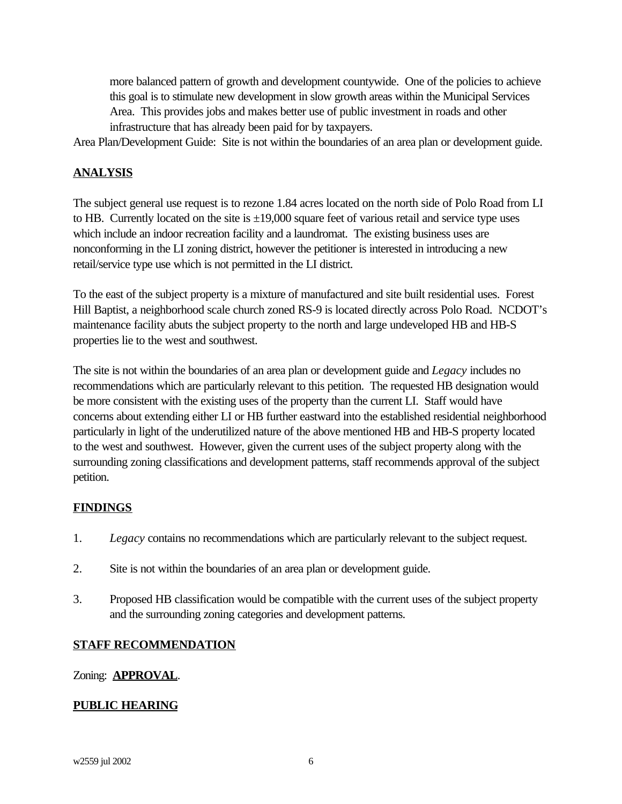more balanced pattern of growth and development countywide. One of the policies to achieve this goal is to stimulate new development in slow growth areas within the Municipal Services Area. This provides jobs and makes better use of public investment in roads and other infrastructure that has already been paid for by taxpayers.

Area Plan/Development Guide: Site is not within the boundaries of an area plan or development guide.

# **ANALYSIS**

The subject general use request is to rezone 1.84 acres located on the north side of Polo Road from LI to HB. Currently located on the site is  $\pm 19,000$  square feet of various retail and service type uses which include an indoor recreation facility and a laundromat. The existing business uses are nonconforming in the LI zoning district, however the petitioner is interested in introducing a new retail/service type use which is not permitted in the LI district.

To the east of the subject property is a mixture of manufactured and site built residential uses. Forest Hill Baptist, a neighborhood scale church zoned RS-9 is located directly across Polo Road. NCDOT's maintenance facility abuts the subject property to the north and large undeveloped HB and HB-S properties lie to the west and southwest.

The site is not within the boundaries of an area plan or development guide and *Legacy* includes no recommendations which are particularly relevant to this petition. The requested HB designation would be more consistent with the existing uses of the property than the current LI. Staff would have concerns about extending either LI or HB further eastward into the established residential neighborhood particularly in light of the underutilized nature of the above mentioned HB and HB-S property located to the west and southwest. However, given the current uses of the subject property along with the surrounding zoning classifications and development patterns, staff recommends approval of the subject petition.

# **FINDINGS**

- 1. *Legacy* contains no recommendations which are particularly relevant to the subject request.
- 2. Site is not within the boundaries of an area plan or development guide.
- 3. Proposed HB classification would be compatible with the current uses of the subject property and the surrounding zoning categories and development patterns.

# **STAFF RECOMMENDATION**

## Zoning: **APPROVAL**.

## **PUBLIC HEARING**